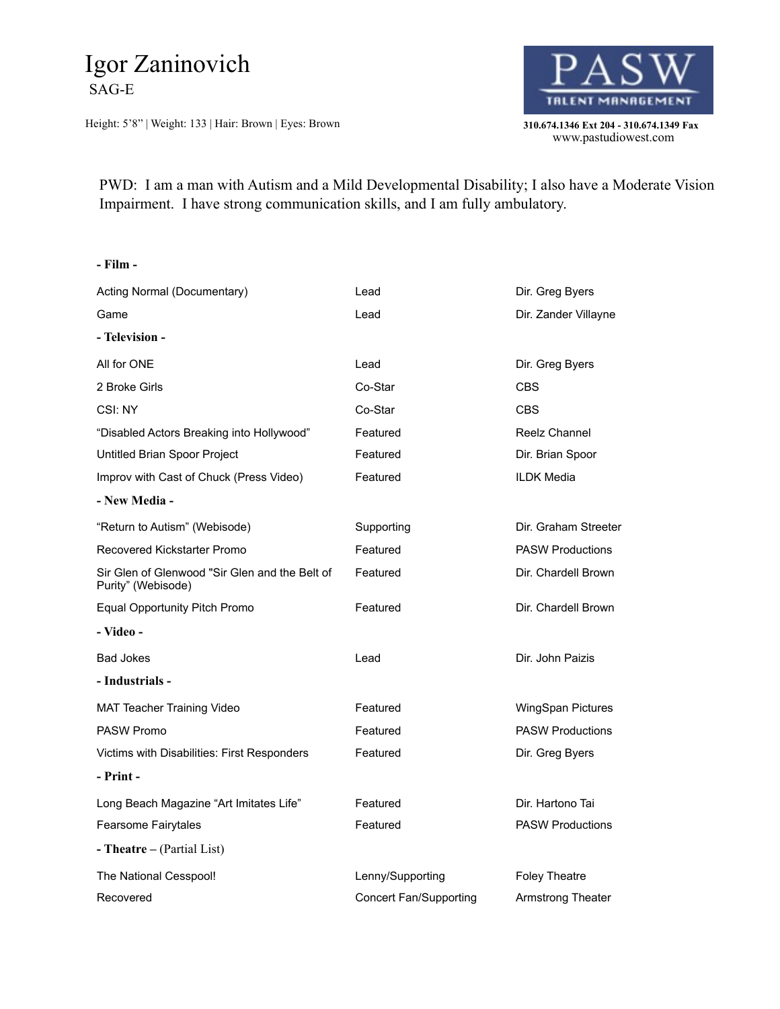## Igor Zaninovich SAG-E

Height: 5'8" | Weight: 133 | Hair: Brown | Eyes: Brown **310.674.1346 Ext 204 - 310.674.1349 Fax** 



www.pastudiowest.com

 PWD: I am a man with Autism and a Mild Developmental Disability; I also have a Moderate Vision Impairment. I have strong communication skills, and I am fully ambulatory.

## **- Film -** Acting Normal (Documentary) **Lead Direction** Dir. Greg Byers Game **Came** Communication Communication Communication Communication Communication Communication Communication Communication Communication Communication Communication Communication Communication Communication Communication **- Television -** All for ONE Lead Lead Dir. Greg Byers 2 Broke Girls Corporation Co-Star Corporation CBS CSI: NY Co-Star CBS "Disabled Actors Breaking into Hollywood" Featured Reelz Channel Untitled Brian Spoor Project **Featured** Featured Dir. Brian Spoor Improv with Cast of Chuck (Press Video) Featured Featured ILDK Media **- New Media -** "Return to Autism" (Webisode) Supporting Dir. Graham Streeter Recovered Kickstarter Promo Featured Featured PASW Productions Sir Glen of Glenwood "Sir Glen and the Belt of Purity" (Webisode) Featured Dir. Chardell Brown Equal Opportunity Pitch Promo Featured Dir. Chardell Brown **- Video - Bad Jokes Lead Lead Dir. John Paizis - Industrials -** MAT Teacher Training Video **Featured** Featured WingSpan Pictures PASW Promo **PASW Productions Featured** PASW Productions Victims with Disabilities: First Responders Featured **Featured** Dir. Greg Byers **- Print -** Long Beach Magazine "Art Imitates Life" Featured Featured Dir. Hartono Tai Fearsome Fairytales **Featured** Featured **PASW Productions - Theatre –** (Partial List) The National Cesspool! The National Cesspool! Lenny/Supporting Foley Theatre Recovered **Concert Fan/Supporting Armstrong Theater** Concert Fan/Supporting Armstrong Theater